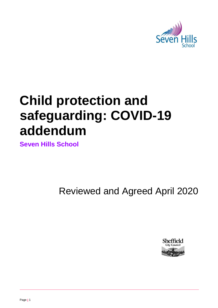

# **Child protection and safeguarding: COVID-19 addendum**

**Seven Hills School**

Reviewed and Agreed April 2020

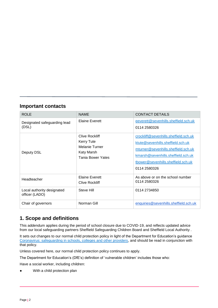## **Important contacts**

| <b>ROLE</b>                                  | <b>NAME</b>                                                                                            | <b>CONTACT DETAILS</b>                                                                                                                                                                                        |
|----------------------------------------------|--------------------------------------------------------------------------------------------------------|---------------------------------------------------------------------------------------------------------------------------------------------------------------------------------------------------------------|
| Designated safeguarding lead<br>(DSL)        | Elaine Everett                                                                                         | eeverett@sevenhills.sheffield.sch.uk<br>0114 2580326                                                                                                                                                          |
| Deputy DSL                                   | Clive Rockliff<br><b>Kerry Tute</b><br>Melanie Turner<br><b>Katy Marsh</b><br><b>Tania Bower Yates</b> | crockliff@sevenhills.sheffield.sch.uk<br>ktute@sevenhills.sheffield.sch.uk<br>mturner@sevenhills.sheffield.sch.uk<br>kmarsh@sevenhills.sheffield.sch.uk<br>tbower@sevenhills.sheffield.sch.uk<br>0114 2580326 |
| Headteacher                                  | <b>Elaine Everett</b><br><b>Clive Rockliff</b>                                                         | As above or on the school number<br>0114 2580326                                                                                                                                                              |
| Local authority designated<br>officer (LADO) | Steve Hill                                                                                             | 0114 2734850                                                                                                                                                                                                  |
| Chair of governors                           | Norman Gill                                                                                            | enquiries@sevenhills.sheffield.sch.uk                                                                                                                                                                         |

# **1. Scope and definitions**

This addendum applies during the period of school closure due to COVID-19, and reflects updated advice from our local safeguarding partners Sheffield Safeguarding Children Board and Sheffield Local Authority .

It sets out changes to our normal child protection policy in light of the Department for Education's guidance [Coronavirus: safeguarding in schools, colleges and other providers,](https://www.gov.uk/government/publications/covid-19-safeguarding-in-schools-colleges-and-other-providers) and should be read in conjunction with that policy.

Unless covered here, our normal child protection policy continues to apply.

The Department for Education's (DfE's) definition of 'vulnerable children' includes those who:

Have a social worker, including children:

With a child protection plan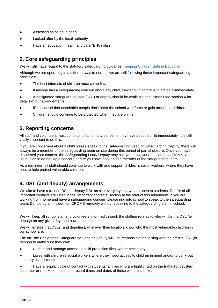- Assessed as being in need
- Looked after by the local authority
- Have an education, health and care (EHC) plan

# **2. Core safeguarding principles**

We will still have regard to the statutory safeguarding guidance, [Keeping Children Safe in Education.](https://www.gov.uk/government/publications/keeping-children-safe-in-education--2)

Although we are operating in a different way to normal, we are still following these important safeguarding principles:

- The best interests of children must come first
- If anyone has a safeguarding concern about any child, they should continue to act on it immediately
- A designated safeguarding lead (DSL) or deputy should be available at all times (see section 4 for details of our arrangements)
- It's essential that unsuitable people don't enter the school workforce or gain access to children
- Children should continue to be protected when they are online

# **3. Reporting concerns**

All staff and volunteers must continue to act on any concerns they have about a child immediately. It is still vitally important to do this.

If you are concerned about a child please speak to the Safeguarding Lead or Safeguarding Deputy, there will always be a member of the safeguarding team on site during this period of partial closure. Once you have discussed your concern the Safeguarding Lead/ Deputy may ask you to log your concern on CPOMS. As usual please do not log a concern before you have spoken to a member of the safeguarding team.

As a reminder, all staff should continue to work with and support children's social workers, where they have one, to help protect vulnerable children.

# **4. DSL (and deputy) arrangements**

We aim to have a trained DSL or deputy DSL on site everyday that we are open to students. Details of all important contacts are listed in the 'Important contacts' section at the start of this addendum. If you are working from home and have a safeguarding concern please ring into school to speak to the safeguarding team. Do not log an incident on CPOMS remotely without speaking to the safeguarding staff in school.

We will keep all school staff and volunteers informed through the staffing rota as to who will be the DSL (or deputy) on any given day, and how to contact them.

We will ensure that DSLs (and deputies), wherever their location, know who the most vulnerable children in our school are.

The on- site Designated Safeguarding Lead or Deputy will be responsible for liaising with the off-site DSL (or deputy) to make sure they can:

● Update and manage access to child protection files, where necessary

Liaise with children's social workers where they need access to children in need and/or to carry out statutory assessments

Have a regular cycle of contact with students/families who are highlighted on the traffic light system as amber or red. Make notes and record times and dates of these welfare checks.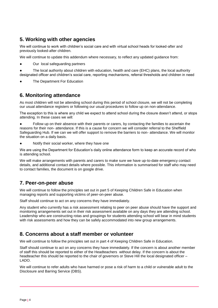# **5. Working with other agencies**

We will continue to work with children's social care and with virtual school heads for looked-after and previously looked-after children.

We will continue to update this addendum where necessary, to reflect any updated guidance from:

Our local safeguarding partners

The local authority about children with education, health and care (EHC) plans, the local authority designated officer and children's social care, reporting mechanisms, referral thresholds and children in need

The Department For Education

## **6. Monitoring attendance**

As most children will not be attending school during this period of school closure, we will not be completing our usual attendance registers or following our usual procedures to follow up on non-attendance.

The exception to this is where any child we expect to attend school during the closure doesn't attend, or stops attending. In these cases we will:

Follow up on their absence with their parents or carers, by contacting the families to ascertain the reasons for their non- attendance. If this is a cause for concern we will consider referral to the Sheffield Safeguarding Hub. If we can we will offer support to remove the barriers to non- attendance. We will monitor the situation on a daily basis.

Notify their social worker, where they have one

We are using the Department for Education's daily online attendance form to keep an accurate record of who is attending school.

We will make arrangements with parents and carers to make sure we have up-to-date emergency contact details, and additional contact details where possible. This information is summarised for staff who may need to contact families, the document is on google drive.

## **7. Peer-on-peer abuse**

We will continue to follow the principles set out in part 5 of Keeping Children Safe in Education when managing reports and supporting victims of peer-on-peer abuse.

Staff should continue to act on any concerns they have immediately.

Any student who currently has a risk assessment relating to peer on peer abuse should have the support and monitoring arrangements set out in their risk assessment available on any days they are attending school. Leadership who are constructing rotas and groupings for students attending school will bear in mind students with risk assessments and how they can be safely accommodated into new group arrangements.

## **8. Concerns about a staff member or volunteer**

We will continue to follow the principles set out in part 4 of Keeping Children Safe in Education.

Staff should continue to act on any concerns they have immediately. If the concern is about another member of staff this should be reported to either of the Headteachers without delay. If the concern is about the headteacher this should be reported to the chair of governors or Steve Hill the local designated officer – LADO.

We will continue to refer adults who have harmed or pose a risk of harm to a child or vulnerable adult to the Disclosure and Barring Service (DBS).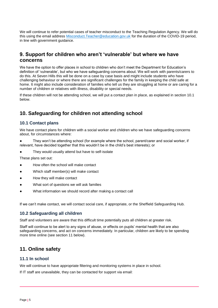We will continue to refer potential cases of teacher misconduct to the Teaching Regulation Agency. We will do this using the email address [Misconduct.Teacher@education.gov.uk](mailto:Misconduct.Teacher@education.gov.uk) for the duration of the COVID-19 period, in line with government guidance.

# **9. Support for children who aren't 'vulnerable' but where we have concerns**

We have the option to offer places in school to children who don't meet the Department for Education's definition of 'vulnerable', but who we have safeguarding concerns about. We will work with parents/carers to do this. At Seven Hills this will be done on a case by case basis and might include students who have challenging behaviour or where there are significant challenges for the family in keeping the child safe at home. It might also include consideration of families who tell us they are struggling at home or are caring for a number of children or relatives with illness, disability or special needs.

If these children will not be attending school, we will put a contact plan in place, as explained in section 10.1 below.

# **10. Safeguarding for children not attending school**

#### **10.1 Contact plans**

We have contact plans for children with a social worker and children who we have safeguarding concerns about, for circumstances where:

They won't be attending school (for example where the school, parent/carer and social worker, if relevant, have decided together that this wouldn't be in the child's best interests); or

They would usually attend but have to self-isolate

These plans set out:

- How often the school will make contact
- Which staff member(s) will make contact
- How they will make contact
- What sort of questions we will ask families
- What information we should record after making a contact call

If we can't make contact, we will contact social care, if appropriate, or the Sheffield Safeguarding Hub.

#### **10.2 Safeguarding all children**

Staff and volunteers are aware that this difficult time potentially puts all children at greater risk.

Staff will continue to be alert to any signs of abuse, or effects on pupils' mental health that are also safeguarding concerns, and act on concerns immediately. In particular, children are likely to be spending more time online (see section 11 below).

## **11. Online safety**

#### **11.1 In school**

We will continue to have appropriate filtering and monitoring systems in place in school.

If IT staff are unavailable, they can be contacted for support via email: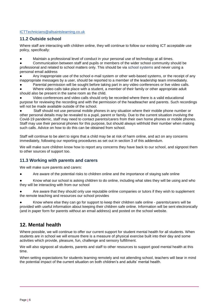#### [ICTTechnicians@allsaintslearning.co.uk](mailto:ICTTechnicians@allsaintslearning.co.uk)

#### **11.2 Outside school**

Where staff are interacting with children online, they will continue to follow our existing ICT acceptable use policy, specifically:

Maintain a professional level of conduct in your personal use of technology at all times.

Communication between staff and pupils or members of the wider school community should be professional and related to school matters only. This should be via school systems and never using a personal email address

Any inappropriate use of the school e-mail system or other web-based systems, or the receipt of any inappropriate messages by a user, should be reported to a member of the leadership team immediately.

Parental permission will be sought before taking part in any video conferences or live video calls.

Where video calls take place with a student, a member of their family or other appropriate adult should also be present in the same room as the child.

Video conferences and video calls should only be recorded where there is a valid educational purpose for reviewing the recording and with the permission of the headteacher and parents. Such recordings will not be made available outside of the school.

Staff should not use personal mobile phones in any situation where their mobile phone number or other personal details may be revealed to a pupil, parent or family. Due to the current situation involving the Covid-19 pandemic, staff may need to contact parents/carers from their own home phones or mobile phones. Staff may use their personal phones for this purpose, but should always withhold their number when making such calls. Advice on how to do this can be obtained from school.

Staff will continue to be alert to signs that a child may be at risk of harm online, and act on any concerns immediately, following our reporting procedures as set out in section 3 of this addendum.

We will make sure children know how to report any concerns they have back to our school, and signpost them to other sources of support too.

#### **11.3 Working with parents and carers**

We will make sure parents and carers:

Are aware of the potential risks to children online and the importance of staying safe online

Know what our school is asking children to do online, including what sites they will be using and who they will be interacting with from our school

Are aware that they should only use reputable online companies or tutors if they wish to supplement the remote teaching and resources our school provides

● Know where else they can go for support to keep their children safe online - parents/carers will be provided with useful information about keeping their children safe online. Information will be sent electronically (and in paper form for parents without an email address) and posted on the school website.

## **12. Mental health**

Where possible, we will continue to offer our current support for student mental health for all students. When students are in school we will ensure there is a measure of physical exercise built into their day and some activities which provide, pleasure, fun, challenge and sensory fulfillment.

We will also signpost all students, parents and staff to other resources to support good mental health at this time.

When setting expectations for students learning remotely and not attending school, teachers will bear in mind the potential impact of the current situation on both children's and adults' mental health.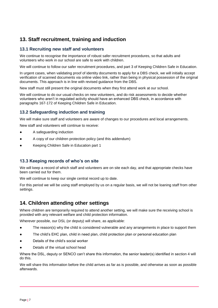# **13. Staff recruitment, training and induction**

### **13.1 Recruiting new staff and volunteers**

We continue to recognise the importance of robust safer recruitment procedures, so that adults and volunteers who work in our school are safe to work with children.

We will continue to follow our safer recruitment procedures, and part 3 of Keeping Children Safe in Education.

In urgent cases, when validating proof of identity documents to apply for a DBS check, we will initially accept verification of scanned documents via online video link, rather than being in physical possession of the original documents. This approach is in line with revised guidance from the DBS.

New staff must still present the original documents when they first attend work at our school.

We will continue to do our usual checks on new volunteers, and do risk assessments to decide whether volunteers who aren't in regulated activity should have an enhanced DBS check, in accordance with paragraphs 167-172 of Keeping Children Safe in Education.

## **13.2 Safeguarding induction and training**

We will make sure staff and volunteers are aware of changes to our procedures and local arrangements.

New staff and volunteers will continue to receive:

- A safeguarding induction
- A copy of our children protection policy (and this addendum)
- Keeping Children Safe in Education part 1

#### **13.3 Keeping records of who's on site**

We will keep a record of which staff and volunteers are on site each day, and that appropriate checks have been carried out for them.

We will continue to keep our single central record up to date.

For this period we will be using staff employed by us on a regular basis, we will not be loaning staff from other settings.

## **14. Children attending other settings**

Where children are temporarily required to attend another setting, we will make sure the receiving school is provided with any relevant welfare and child protection information.

Wherever possible, our DSL (or deputy) will share, as applicable:

- The reason(s) why the child is considered vulnerable and any arrangements in place to support them
- The child's EHC plan, child in need plan, child protection plan or personal education plan
- Details of the child's social worker
- Details of the virtual school head

Where the DSL, deputy or SENCO can't share this information, the senior leader(s) identified in section 4 will do this.

We will share this information before the child arrives as far as is possible, and otherwise as soon as possible afterwards.